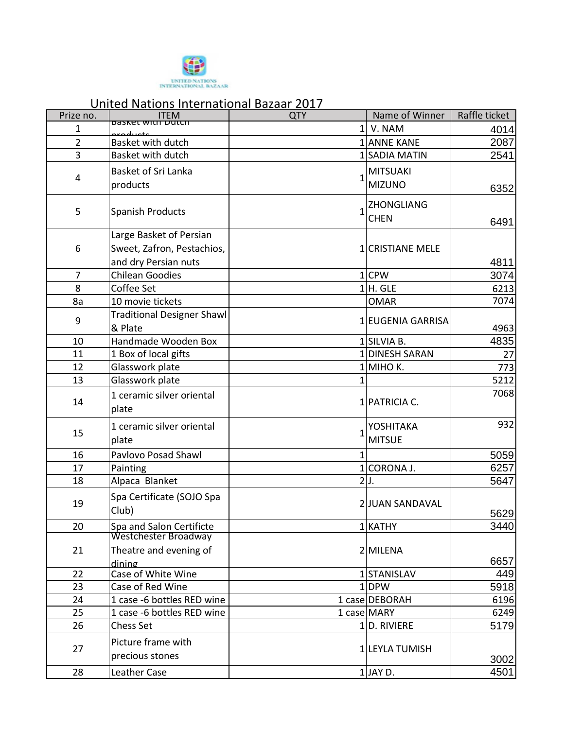

## United Nations International Bazaar 2017

| Prize no.      | <b>ITEM</b>                                              | <b>QTY</b> | Name of Winner                | Raffle ticket |
|----------------|----------------------------------------------------------|------------|-------------------------------|---------------|
| 1              | <del>basket with Dutch</del><br>ععمساممعه                |            | $1$ V. NAM                    | 4014          |
| $\overline{2}$ | Basket with dutch                                        |            | 1 ANNE KANE                   | 2087          |
| 3              | Basket with dutch                                        |            | 1 SADIA MATIN                 | 2541          |
|                | Basket of Sri Lanka                                      |            | <b>MITSUAKI</b>               |               |
| $\overline{4}$ | products                                                 | 1          | <b>MIZUNO</b>                 |               |
|                |                                                          |            |                               | 6352          |
| 5              | <b>Spanish Products</b>                                  | 1          | <b>ZHONGLIANG</b>             |               |
|                |                                                          |            | <b>CHEN</b>                   | 6491          |
|                | Large Basket of Persian                                  |            |                               |               |
| 6              | Sweet, Zafron, Pestachios,                               |            | 1 CRISTIANE MELE              |               |
|                | and dry Persian nuts                                     |            |                               | 4811          |
| $\overline{7}$ | <b>Chilean Goodies</b>                                   |            | $1$ CPW                       | 3074          |
| 8              | Coffee Set                                               |            | $1$ H. GLE                    | 6213          |
| 8a             | 10 movie tickets                                         |            | <b>OMAR</b>                   | 7074          |
|                | <b>Traditional Designer Shawl</b>                        |            |                               |               |
| 9              | & Plate                                                  |            | 1 EUGENIA GARRISA             | 4963          |
| 10             | Handmade Wooden Box                                      |            | $1$ SILVIA B.                 | 4835          |
| 11             | 1 Box of local gifts                                     |            | 1 DINESH SARAN                | 27            |
| 12             | Glasswork plate                                          |            | $1$ MIHO K.                   | 773           |
| 13             | Glasswork plate                                          | 1          |                               | 5212          |
|                | 1 ceramic silver oriental                                |            |                               | 7068          |
| 14             | plate                                                    |            | 1 PATRICIA C.                 |               |
|                | 1 ceramic silver oriental                                |            | YOSHITAKA                     | 932           |
| 15             | plate                                                    | 1          | <b>MITSUE</b>                 |               |
|                |                                                          |            |                               |               |
| 16             | Pavlovo Posad Shawl                                      | 1          |                               | 5059          |
| 17             | Painting                                                 |            | 1 CORONA J.                   | 6257          |
| 18             | Alpaca Blanket                                           |            | 2J.                           | 5647          |
| 19             | Spa Certificate (SOJO Spa                                |            | 2 JUAN SANDAVAL               |               |
|                | Club)                                                    |            |                               | 5629          |
| 20             | Spa and Salon Certificte                                 |            | 1 KATHY                       | 3440          |
|                | Westchester Broadway                                     |            |                               |               |
| 21             | Theatre and evening of                                   |            | 2 MILENA                      |               |
|                | dining                                                   |            |                               | 6657          |
| 22<br>23       | Case of White Wine<br>Case of Red Wine                   |            | 1STANISLAV<br>$1$ DPW         | 449<br>5918   |
|                |                                                          |            |                               |               |
| 24<br>25       | 1 case -6 bottles RED wine<br>1 case -6 bottles RED wine |            | 1 case DEBORAH<br>1 case MARY | 6196<br>6249  |
| 26             | <b>Chess Set</b>                                         |            | $1$ D. RIVIERE                | 5179          |
|                |                                                          |            |                               |               |
| 27             | Picture frame with                                       |            | 1 LEYLA TUMISH                |               |
|                | precious stones                                          |            |                               | 3002          |
| 28             | Leather Case                                             |            | $1$ JAYD.                     | 4501          |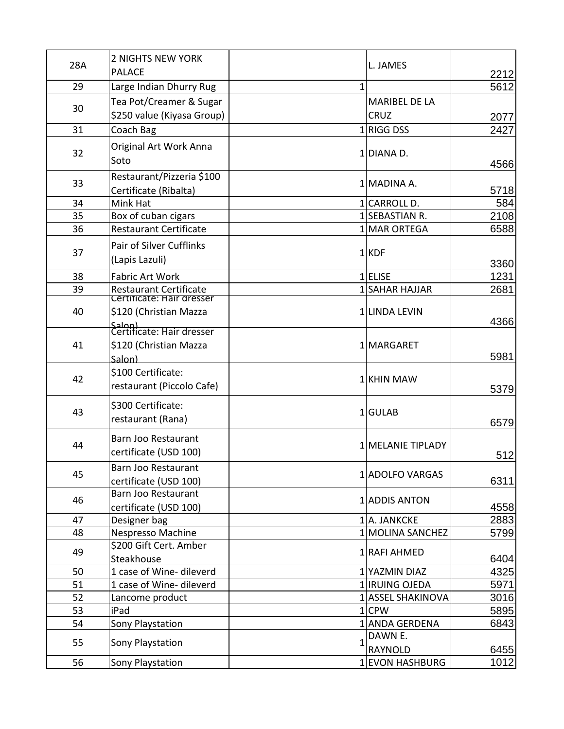| 28A | <b>2 NIGHTS NEW YORK</b>            |             | L. JAMES             |      |
|-----|-------------------------------------|-------------|----------------------|------|
|     | <b>PALACE</b>                       |             |                      | 2212 |
| 29  | Large Indian Dhurry Rug             | $\mathbf 1$ |                      | 5612 |
| 30  | Tea Pot/Creamer & Sugar             |             | <b>MARIBEL DE LA</b> |      |
|     | \$250 value (Kiyasa Group)          |             | <b>CRUZ</b>          | 2077 |
| 31  | Coach Bag                           |             | $1$ RIGG DSS         | 2427 |
|     | Original Art Work Anna              |             |                      |      |
| 32  | Soto                                |             | 1DIANA D.            |      |
| 33  | Restaurant/Pizzeria \$100           |             |                      | 4566 |
|     | Certificate (Ribalta)               |             | 1 MADINA A.          | 5718 |
| 34  | Mink Hat                            |             | 1 CARROLL D.         | 584  |
| 35  | Box of cuban cigars                 |             | 1 SEBASTIAN R.       | 2108 |
| 36  | <b>Restaurant Certificate</b>       |             | 1 MAR ORTEGA         | 6588 |
|     |                                     |             |                      |      |
| 37  | Pair of Silver Cufflinks            |             | $1$ KDF              |      |
|     | (Lapis Lazuli)                      |             |                      | 3360 |
| 38  | <b>Fabric Art Work</b>              |             | 1 ELISE              | 1231 |
| 39  | <b>Restaurant Certificate</b>       |             | 1 SAHAR HAJJAR       | 2681 |
|     | Certificate: Hair dresser           |             |                      |      |
| 40  | \$120 (Christian Mazza              |             | 1 LINDA LEVIN        | 4366 |
|     | Salon)<br>Certificate: Hair dresser |             | 1 MARGARET           |      |
| 41  | \$120 (Christian Mazza              |             |                      |      |
|     | Salon)                              |             |                      | 5981 |
|     | \$100 Certificate:                  |             | 1 KHIN MAW           |      |
| 42  | restaurant (Piccolo Cafe)           |             |                      | 5379 |
|     |                                     |             |                      |      |
| 43  | \$300 Certificate:                  |             | $1$ GULAB            |      |
|     | restaurant (Rana)                   |             |                      | 6579 |
|     | Barn Joo Restaurant                 |             | 1 MELANIE TIPLADY    |      |
| 44  | certificate (USD 100)               |             |                      | 512  |
|     | Barn Joo Restaurant                 |             |                      |      |
| 45  | certificate (USD 100)               |             | 1 ADOLFO VARGAS      | 6311 |
|     | Barn Joo Restaurant                 |             |                      |      |
| 46  | certificate (USD 100)               |             | 1 ADDIS ANTON        | 4558 |
| 47  | Designer bag                        |             | 1 A. JANKCKE         | 2883 |
| 48  | Nespresso Machine                   |             | 1 MOLINA SANCHEZ     | 5799 |
| 49  | \$200 Gift Cert. Amber              |             | 1 RAFI AHMED         |      |
|     | Steakhouse                          |             |                      | 6404 |
| 50  | 1 case of Wine- dileverd            |             | 1 YAZMIN DIAZ        | 4325 |
| 51  | 1 case of Wine- dileverd            |             | 1 IRUING OJEDA       | 5971 |
| 52  | Lancome product                     |             | 1 ASSEL SHAKINOVA    | 3016 |
| 53  | iPad                                |             | $1$ CPW              | 5895 |
| 54  | Sony Playstation                    |             | 1 ANDA GERDENA       | 6843 |
| 55  | Sony Playstation                    | 1           | DAWN E.              |      |
|     |                                     |             | <b>RAYNOLD</b>       | 6455 |
| 56  | Sony Playstation                    |             | 1 EVON HASHBURG      | 1012 |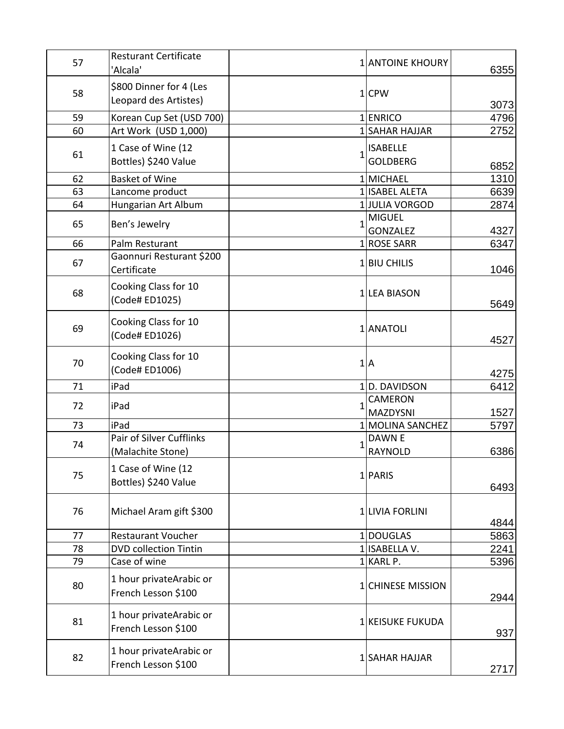| 57 | <b>Resturant Certificate</b><br>'Alcala'         |    | 1 ANTOINE KHOURY                | 6355 |
|----|--------------------------------------------------|----|---------------------------------|------|
| 58 | \$800 Dinner for 4 (Les<br>Leopard des Artistes) |    | $1$ CPW                         | 3073 |
| 59 | Korean Cup Set (USD 700)                         |    | 1 ENRICO                        | 4796 |
| 60 | Art Work (USD 1,000)                             |    | 1 SAHAR HAJJAR                  | 2752 |
|    | 1 Case of Wine (12                               |    | <b>ISABELLE</b>                 |      |
| 61 | Bottles) \$240 Value                             | 1  | <b>GOLDBERG</b>                 | 6852 |
| 62 | <b>Basket of Wine</b>                            |    | 1 MICHAEL                       | 1310 |
| 63 | Lancome product                                  |    | 1 ISABEL ALETA                  | 6639 |
| 64 | Hungarian Art Album                              |    | 1JULIA VORGOD                   | 2874 |
| 65 | Ben's Jewelry                                    | 1  | MIGUEL<br><b>GONZALEZ</b>       | 4327 |
| 66 | Palm Resturant                                   |    | 1 ROSE SARR                     | 6347 |
| 67 | Gaonnuri Resturant \$200<br>Certificate          |    | 1 BIU CHILIS                    | 1046 |
| 68 | Cooking Class for 10<br>(Code# ED1025)           |    | 1 LEA BIASON                    | 5649 |
| 69 | Cooking Class for 10<br>(Code# ED1026)           |    | 1 ANATOLI                       | 4527 |
| 70 | Cooking Class for 10<br>(Code# ED1006)           | 1A |                                 | 4275 |
| 71 | iPad                                             |    | 1D. DAVIDSON                    | 6412 |
| 72 | iPad                                             | 1  | <b>CAMERON</b><br>MAZDYSNI      | 1527 |
| 73 | iPad                                             |    | 1 MOLINA SANCHEZ                | 5797 |
| 74 | Pair of Silver Cufflinks<br>(Malachite Stone)    | 1  | <b>DAWN E</b><br><b>RAYNOLD</b> | 6386 |
| 75 | 1 Case of Wine (12<br>Bottles) \$240 Value       |    | 1 PARIS                         | 6493 |
| 76 | Michael Aram gift \$300                          |    | 1 LIVIA FORLINI                 | 4844 |
| 77 | <b>Restaurant Voucher</b>                        |    | 1 DOUGLAS                       | 5863 |
| 78 | <b>DVD collection Tintin</b>                     |    | 1 ISABELLA V.                   | 2241 |
| 79 | Case of wine                                     |    | 1 KARL P.                       | 5396 |
| 80 | 1 hour privateArabic or<br>French Lesson \$100   |    | 1 CHINESE MISSION               | 2944 |
| 81 | 1 hour privateArabic or<br>French Lesson \$100   |    | 1 KEISUKE FUKUDA                | 937  |
| 82 | 1 hour privateArabic or<br>French Lesson \$100   |    | 1 SAHAR HAJJAR                  | 2717 |